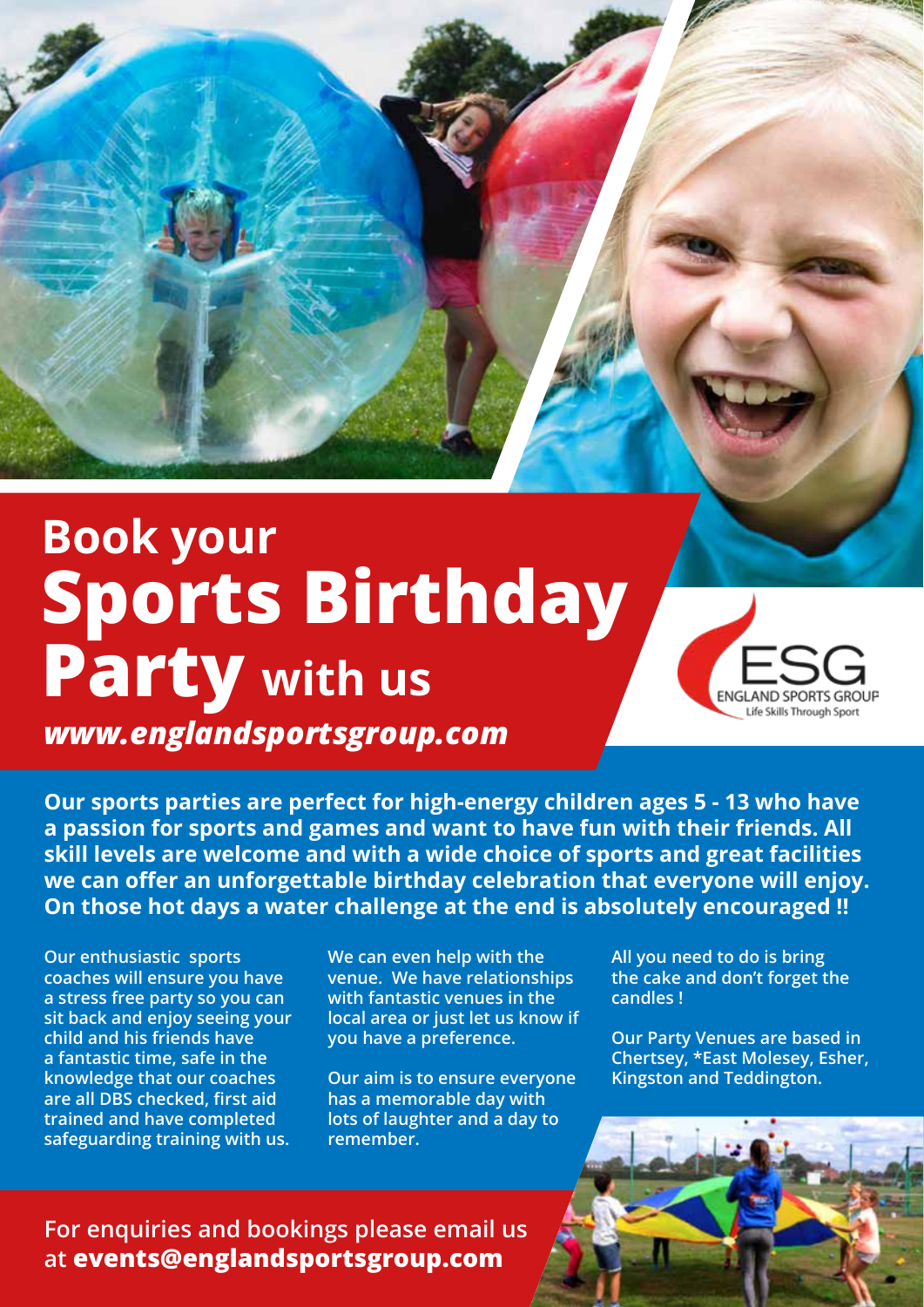# **Sports Birthday Party with us Book your**



*www.englandsportsgroup.com*

**Our sports parties are perfect for high-energy children ages 5 - 13 who have a passion for sports and games and want to have fun with their friends. All skill levels are welcome and with a wide choice of sports and great facilities we can offer an unforgettable birthday celebration that everyone will enjoy. On those hot days a water challenge at the end is absolutely encouraged !!**

**Our enthusiastic sports coaches will ensure you have a stress free party so you can sit back and enjoy seeing your child and his friends have a fantastic time, safe in the knowledge that our coaches are all DBS checked, first aid trained and have completed safeguarding training with us.** 

**We can even help with the venue. We have relationships with fantastic venues in the local area or just let us know if you have a preference.** 

**Our aim is to ensure everyone has a memorable day with lots of laughter and a day to remember.**

**All you need to do is bring the cake and don't forget the candles !**

**Our Party Venues are based in Chertsey, \*East Molesey, Esher, Kingston and Teddington.**

**For enquiries and bookings please email us at events@englandsportsgroup.com**